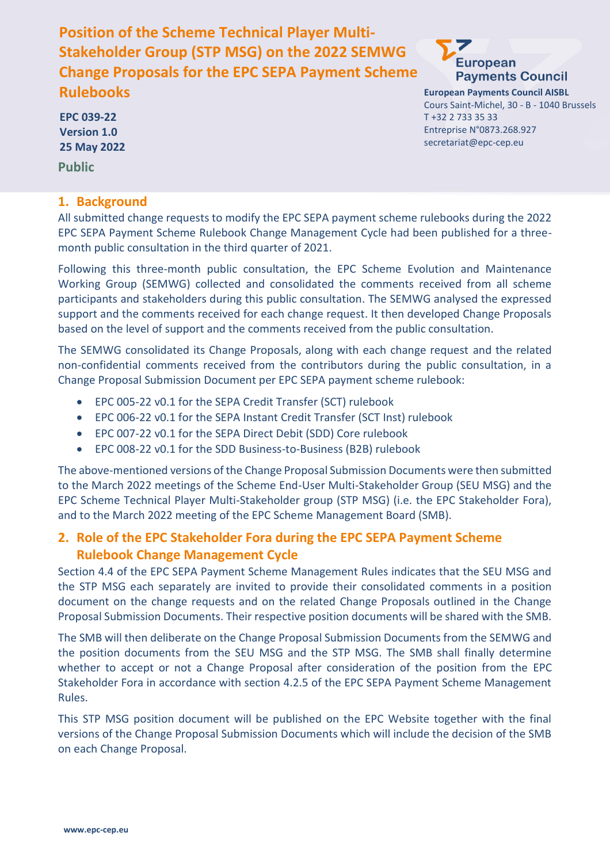# **Position of the Scheme Technical Player Multi-Stakeholder Group (STP MSG) on the 2022 SEMWG Change Proposals for the EPC SEPA Payment Scheme Rulebooks**

**EPC 039-22 Version 1.0 25 May 2022**

**Public**

#### **1. Background**



**European Payments Council AISBL** Cours Saint-Michel, 30 - B - 1040 Brussels T +32 2 733 35 33 Entreprise N°0873.268.927 secretariat@epc-cep.eu

All submitted change requests to modify the EPC SEPA payment scheme rulebooks during the 2022 EPC SEPA Payment Scheme Rulebook Change Management Cycle had been published for a threemonth public consultation in the third quarter of 2021.

Following this three-month public consultation, the EPC Scheme Evolution and Maintenance Working Group (SEMWG) collected and consolidated the comments received from all scheme participants and stakeholders during this public consultation. The SEMWG analysed the expressed support and the comments received for each change request. It then developed Change Proposals based on the level of support and the comments received from the public consultation.

The SEMWG consolidated its Change Proposals, along with each change request and the related non-confidential comments received from the contributors during the public consultation, in a Change Proposal Submission Document per EPC SEPA payment scheme rulebook:

- EPC 005-22 v0.1 for the SEPA Credit Transfer (SCT) rulebook
- EPC 006-22 v0.1 for the SEPA Instant Credit Transfer (SCT Inst) rulebook
- EPC 007-22 v0.1 for the SEPA Direct Debit (SDD) Core rulebook
- EPC 008-22 v0.1 for the SDD Business-to-Business (B2B) rulebook

The above-mentioned versions of the Change Proposal Submission Documents were then submitted to the March 2022 meetings of the Scheme End-User Multi-Stakeholder Group (SEU MSG) and the EPC Scheme Technical Player Multi-Stakeholder group (STP MSG) (i.e. the EPC Stakeholder Fora), and to the March 2022 meeting of the EPC Scheme Management Board (SMB).

#### **2. Role of the EPC Stakeholder Fora during the EPC SEPA Payment Scheme Rulebook Change Management Cycle**

Section 4.4 of the EPC SEPA Payment Scheme Management Rules indicates that the SEU MSG and the STP MSG each separately are invited to provide their consolidated comments in a position document on the change requests and on the related Change Proposals outlined in the Change Proposal Submission Documents. Their respective position documents will be shared with the SMB.

The SMB will then deliberate on the Change Proposal Submission Documents from the SEMWG and the position documents from the SEU MSG and the STP MSG. The SMB shall finally determine whether to accept or not a Change Proposal after consideration of the position from the EPC Stakeholder Fora in accordance with section 4.2.5 of the EPC SEPA Payment Scheme Management Rules.

This STP MSG position document will be published on the EPC Website together with the final versions of the Change Proposal Submission Documents which will include the decision of the SMB on each Change Proposal.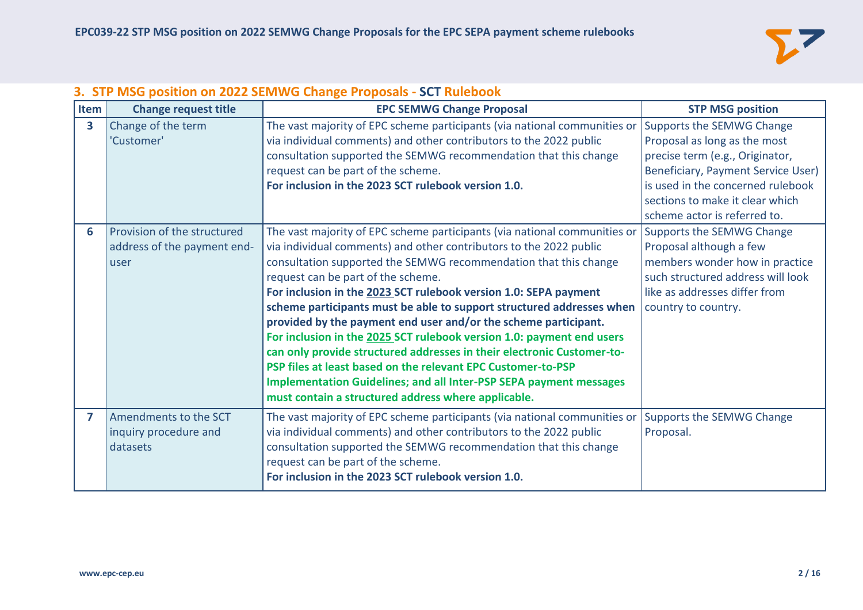

## **3. STP MSG position on 2022 SEMWG Change Proposals - SCT Rulebook**

| Item                    | <b>Change request title</b>                                        | <b>EPC SEMWG Change Proposal</b>                                                                                                                                                                                                                                                                                                                                                                                                                                                                                                                                                                                                                                                                                                                                                                                                 | <b>STP MSG position</b>                                                                                                                                                                                                                    |
|-------------------------|--------------------------------------------------------------------|----------------------------------------------------------------------------------------------------------------------------------------------------------------------------------------------------------------------------------------------------------------------------------------------------------------------------------------------------------------------------------------------------------------------------------------------------------------------------------------------------------------------------------------------------------------------------------------------------------------------------------------------------------------------------------------------------------------------------------------------------------------------------------------------------------------------------------|--------------------------------------------------------------------------------------------------------------------------------------------------------------------------------------------------------------------------------------------|
| $\overline{\mathbf{3}}$ | Change of the term<br>'Customer'                                   | The vast majority of EPC scheme participants (via national communities or<br>via individual comments) and other contributors to the 2022 public<br>consultation supported the SEMWG recommendation that this change<br>request can be part of the scheme.<br>For inclusion in the 2023 SCT rulebook version 1.0.                                                                                                                                                                                                                                                                                                                                                                                                                                                                                                                 | Supports the SEMWG Change<br>Proposal as long as the most<br>precise term (e.g., Originator,<br>Beneficiary, Payment Service User)<br>is used in the concerned rulebook<br>sections to make it clear which<br>scheme actor is referred to. |
| 6                       | Provision of the structured<br>address of the payment end-<br>user | The vast majority of EPC scheme participants (via national communities or<br>via individual comments) and other contributors to the 2022 public<br>consultation supported the SEMWG recommendation that this change<br>request can be part of the scheme.<br>For inclusion in the 2023 SCT rulebook version 1.0: SEPA payment<br>scheme participants must be able to support structured addresses when<br>provided by the payment end user and/or the scheme participant.<br>For inclusion in the 2025 SCT rulebook version 1.0: payment end users<br>can only provide structured addresses in their electronic Customer-to-<br>PSP files at least based on the relevant EPC Customer-to-PSP<br><b>Implementation Guidelines; and all Inter-PSP SEPA payment messages</b><br>must contain a structured address where applicable. | Supports the SEMWG Change<br>Proposal although a few<br>members wonder how in practice<br>such structured address will look<br>like as addresses differ from<br>country to country.                                                        |
| 7                       | Amendments to the SCT<br>inquiry procedure and<br>datasets         | The vast majority of EPC scheme participants (via national communities or<br>via individual comments) and other contributors to the 2022 public<br>consultation supported the SEMWG recommendation that this change<br>request can be part of the scheme.<br>For inclusion in the 2023 SCT rulebook version 1.0.                                                                                                                                                                                                                                                                                                                                                                                                                                                                                                                 | Supports the SEMWG Change<br>Proposal.                                                                                                                                                                                                     |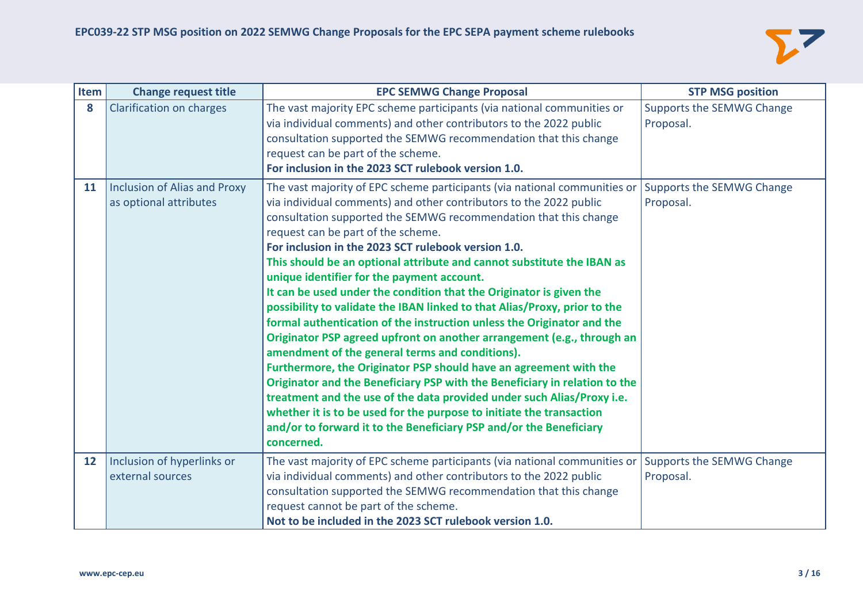

| Item              | <b>Change request title</b>                            | <b>EPC SEMWG Change Proposal</b>                                                                                                                                                                                                                                                                                                                                                                                                                                                                                                                                                                                                                                                                                                                                                                                                                                                                                                                                                                                                                                                                                                                                                             | <b>STP MSG position</b>                |
|-------------------|--------------------------------------------------------|----------------------------------------------------------------------------------------------------------------------------------------------------------------------------------------------------------------------------------------------------------------------------------------------------------------------------------------------------------------------------------------------------------------------------------------------------------------------------------------------------------------------------------------------------------------------------------------------------------------------------------------------------------------------------------------------------------------------------------------------------------------------------------------------------------------------------------------------------------------------------------------------------------------------------------------------------------------------------------------------------------------------------------------------------------------------------------------------------------------------------------------------------------------------------------------------|----------------------------------------|
| 8                 | Clarification on charges                               | The vast majority EPC scheme participants (via national communities or<br>via individual comments) and other contributors to the 2022 public<br>consultation supported the SEMWG recommendation that this change<br>request can be part of the scheme.<br>For inclusion in the 2023 SCT rulebook version 1.0.                                                                                                                                                                                                                                                                                                                                                                                                                                                                                                                                                                                                                                                                                                                                                                                                                                                                                | Supports the SEMWG Change<br>Proposal. |
| 11                | Inclusion of Alias and Proxy<br>as optional attributes | The vast majority of EPC scheme participants (via national communities or<br>via individual comments) and other contributors to the 2022 public<br>consultation supported the SEMWG recommendation that this change<br>request can be part of the scheme.<br>For inclusion in the 2023 SCT rulebook version 1.0.<br>This should be an optional attribute and cannot substitute the IBAN as<br>unique identifier for the payment account.<br>It can be used under the condition that the Originator is given the<br>possibility to validate the IBAN linked to that Alias/Proxy, prior to the<br>formal authentication of the instruction unless the Originator and the<br>Originator PSP agreed upfront on another arrangement (e.g., through an<br>amendment of the general terms and conditions).<br>Furthermore, the Originator PSP should have an agreement with the<br>Originator and the Beneficiary PSP with the Beneficiary in relation to the<br>treatment and the use of the data provided under such Alias/Proxy i.e.<br>whether it is to be used for the purpose to initiate the transaction<br>and/or to forward it to the Beneficiary PSP and/or the Beneficiary<br>concerned. | Supports the SEMWG Change<br>Proposal. |
| $12 \overline{ }$ | Inclusion of hyperlinks or<br>external sources         | The vast majority of EPC scheme participants (via national communities or<br>via individual comments) and other contributors to the 2022 public<br>consultation supported the SEMWG recommendation that this change<br>request cannot be part of the scheme.<br>Not to be included in the 2023 SCT rulebook version 1.0.                                                                                                                                                                                                                                                                                                                                                                                                                                                                                                                                                                                                                                                                                                                                                                                                                                                                     | Supports the SEMWG Change<br>Proposal. |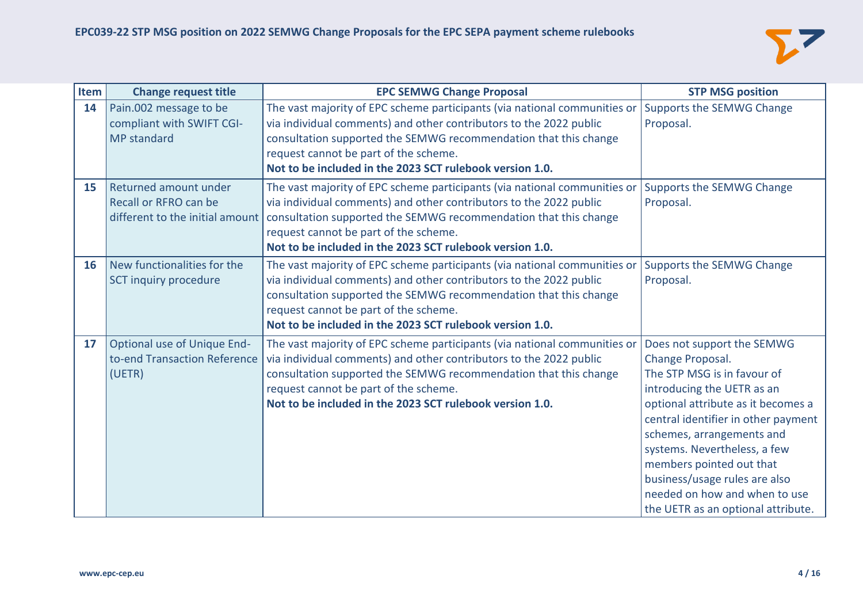

| Item | <b>Change request title</b>                                               | <b>EPC SEMWG Change Proposal</b>                                                                                                                                                                                                                                                                                                                           | <b>STP MSG position</b>                                                                                                                                                                                                                                                                                                                                                                   |
|------|---------------------------------------------------------------------------|------------------------------------------------------------------------------------------------------------------------------------------------------------------------------------------------------------------------------------------------------------------------------------------------------------------------------------------------------------|-------------------------------------------------------------------------------------------------------------------------------------------------------------------------------------------------------------------------------------------------------------------------------------------------------------------------------------------------------------------------------------------|
| 14   | Pain.002 message to be<br>compliant with SWIFT CGI-<br><b>MP</b> standard | The vast majority of EPC scheme participants (via national communities or<br>via individual comments) and other contributors to the 2022 public<br>consultation supported the SEMWG recommendation that this change<br>request cannot be part of the scheme.<br>Not to be included in the 2023 SCT rulebook version 1.0.                                   | Supports the SEMWG Change<br>Proposal.                                                                                                                                                                                                                                                                                                                                                    |
| 15   | Returned amount under<br>Recall or RFRO can be                            | The vast majority of EPC scheme participants (via national communities or<br>via individual comments) and other contributors to the 2022 public<br>different to the initial amount   consultation supported the SEMWG recommendation that this change<br>request cannot be part of the scheme.<br>Not to be included in the 2023 SCT rulebook version 1.0. | Supports the SEMWG Change<br>Proposal.                                                                                                                                                                                                                                                                                                                                                    |
| 16   | New functionalities for the<br>SCT inquiry procedure                      | The vast majority of EPC scheme participants (via national communities or<br>via individual comments) and other contributors to the 2022 public<br>consultation supported the SEMWG recommendation that this change<br>request cannot be part of the scheme.<br>Not to be included in the 2023 SCT rulebook version 1.0.                                   | Supports the SEMWG Change<br>Proposal.                                                                                                                                                                                                                                                                                                                                                    |
| 17   | Optional use of Unique End-<br>to-end Transaction Reference<br>(UETR)     | The vast majority of EPC scheme participants (via national communities or<br>via individual comments) and other contributors to the 2022 public<br>consultation supported the SEMWG recommendation that this change<br>request cannot be part of the scheme.<br>Not to be included in the 2023 SCT rulebook version 1.0.                                   | Does not support the SEMWG<br>Change Proposal.<br>The STP MSG is in favour of<br>introducing the UETR as an<br>optional attribute as it becomes a<br>central identifier in other payment<br>schemes, arrangements and<br>systems. Nevertheless, a few<br>members pointed out that<br>business/usage rules are also<br>needed on how and when to use<br>the UETR as an optional attribute. |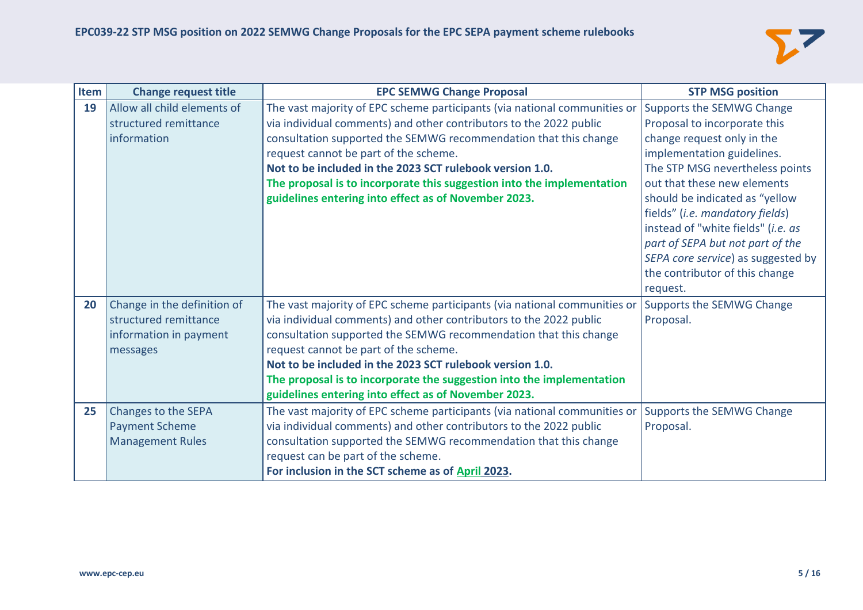

| <b>Item</b> | <b>Change request title</b>                                                                | <b>EPC SEMWG Change Proposal</b>                                                                                                                                                                                                                                                                                                                                                                                                                           | <b>STP MSG position</b>                                                                                                                                                                                                   |
|-------------|--------------------------------------------------------------------------------------------|------------------------------------------------------------------------------------------------------------------------------------------------------------------------------------------------------------------------------------------------------------------------------------------------------------------------------------------------------------------------------------------------------------------------------------------------------------|---------------------------------------------------------------------------------------------------------------------------------------------------------------------------------------------------------------------------|
| 19          | Allow all child elements of<br>structured remittance<br>information                        | The vast majority of EPC scheme participants (via national communities or<br>via individual comments) and other contributors to the 2022 public<br>consultation supported the SEMWG recommendation that this change<br>request cannot be part of the scheme.<br>Not to be included in the 2023 SCT rulebook version 1.0.<br>The proposal is to incorporate this suggestion into the implementation<br>guidelines entering into effect as of November 2023. | Supports the SEMWG Change<br>Proposal to incorporate this<br>change request only in the<br>implementation guidelines.<br>The STP MSG nevertheless points<br>out that these new elements<br>should be indicated as "yellow |
|             |                                                                                            |                                                                                                                                                                                                                                                                                                                                                                                                                                                            | fields" (i.e. mandatory fields)<br>instead of "white fields" (i.e. as<br>part of SEPA but not part of the<br>SEPA core service) as suggested by<br>the contributor of this change<br>request.                             |
| 20          | Change in the definition of<br>structured remittance<br>information in payment<br>messages | The vast majority of EPC scheme participants (via national communities or<br>via individual comments) and other contributors to the 2022 public<br>consultation supported the SEMWG recommendation that this change<br>request cannot be part of the scheme.<br>Not to be included in the 2023 SCT rulebook version 1.0.<br>The proposal is to incorporate the suggestion into the implementation<br>guidelines entering into effect as of November 2023.  | Supports the SEMWG Change<br>Proposal.                                                                                                                                                                                    |
| 25          | Changes to the SEPA<br><b>Payment Scheme</b><br><b>Management Rules</b>                    | The vast majority of EPC scheme participants (via national communities or<br>via individual comments) and other contributors to the 2022 public<br>consultation supported the SEMWG recommendation that this change<br>request can be part of the scheme.<br>For inclusion in the SCT scheme as of April 2023.                                                                                                                                             | Supports the SEMWG Change<br>Proposal.                                                                                                                                                                                    |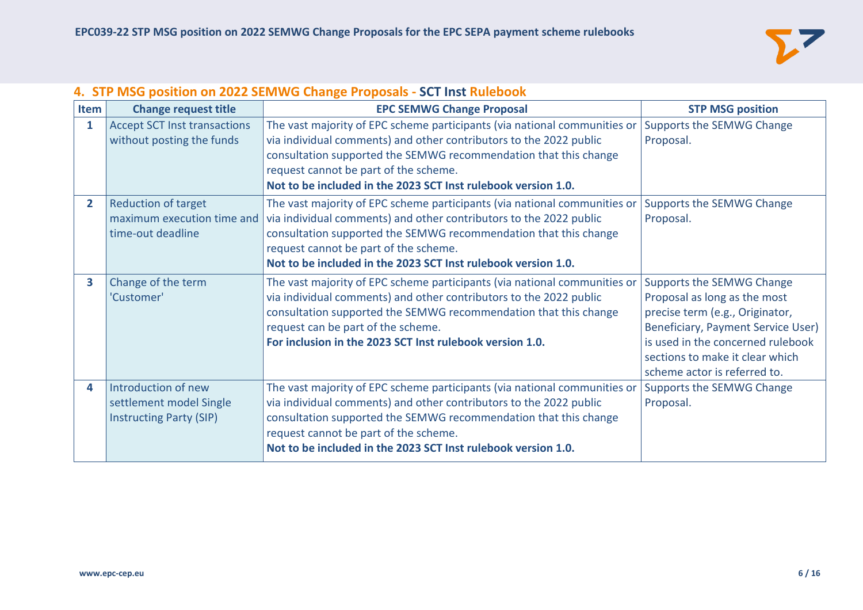

## **4. STP MSG position on 2022 SEMWG Change Proposals - SCT Inst Rulebook**

| Item                    | <b>Change request title</b>         | <b>EPC SEMWG Change Proposal</b>                                          | <b>STP MSG position</b>            |
|-------------------------|-------------------------------------|---------------------------------------------------------------------------|------------------------------------|
| 1                       | <b>Accept SCT Inst transactions</b> | The vast majority of EPC scheme participants (via national communities or | Supports the SEMWG Change          |
|                         | without posting the funds           | via individual comments) and other contributors to the 2022 public        | Proposal.                          |
|                         |                                     | consultation supported the SEMWG recommendation that this change          |                                    |
|                         |                                     | request cannot be part of the scheme.                                     |                                    |
|                         |                                     | Not to be included in the 2023 SCT Inst rulebook version 1.0.             |                                    |
| $\overline{2}$          | <b>Reduction of target</b>          | The vast majority of EPC scheme participants (via national communities or | Supports the SEMWG Change          |
|                         | maximum execution time and          | via individual comments) and other contributors to the 2022 public        | Proposal.                          |
|                         | time-out deadline                   | consultation supported the SEMWG recommendation that this change          |                                    |
|                         |                                     | request cannot be part of the scheme.                                     |                                    |
|                         |                                     | Not to be included in the 2023 SCT Inst rulebook version 1.0.             |                                    |
| $\overline{\mathbf{3}}$ | Change of the term                  | The vast majority of EPC scheme participants (via national communities or | Supports the SEMWG Change          |
|                         | 'Customer'                          | via individual comments) and other contributors to the 2022 public        | Proposal as long as the most       |
|                         |                                     | consultation supported the SEMWG recommendation that this change          | precise term (e.g., Originator,    |
|                         |                                     | request can be part of the scheme.                                        | Beneficiary, Payment Service User) |
|                         |                                     | For inclusion in the 2023 SCT Inst rulebook version 1.0.                  | is used in the concerned rulebook  |
|                         |                                     |                                                                           | sections to make it clear which    |
|                         |                                     |                                                                           | scheme actor is referred to.       |
| 4                       | Introduction of new                 | The vast majority of EPC scheme participants (via national communities or | Supports the SEMWG Change          |
|                         | settlement model Single             | via individual comments) and other contributors to the 2022 public        | Proposal.                          |
|                         | <b>Instructing Party (SIP)</b>      | consultation supported the SEMWG recommendation that this change          |                                    |
|                         |                                     | request cannot be part of the scheme.                                     |                                    |
|                         |                                     | Not to be included in the 2023 SCT Inst rulebook version 1.0.             |                                    |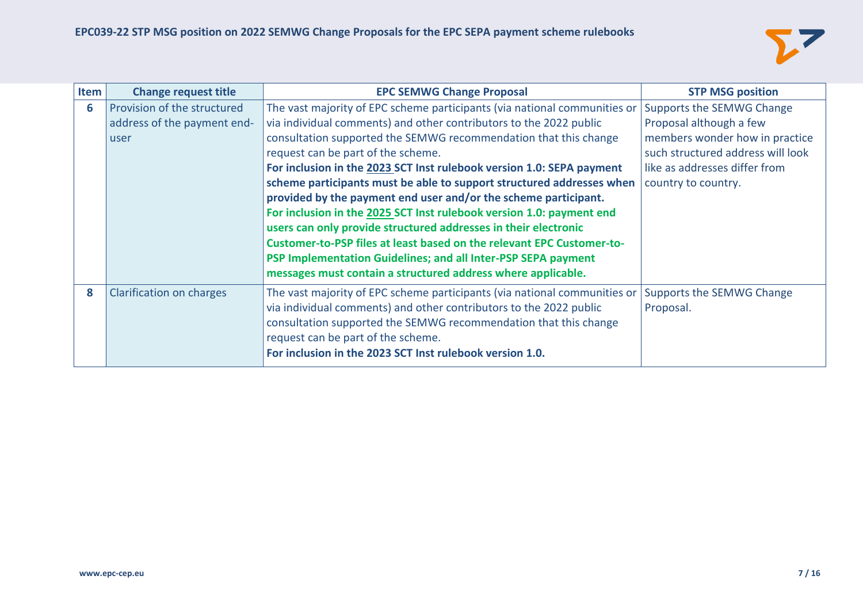

| Item | <b>Change request title</b> | <b>EPC SEMWG Change Proposal</b>                                                                                                                | <b>STP MSG position</b>                |
|------|-----------------------------|-------------------------------------------------------------------------------------------------------------------------------------------------|----------------------------------------|
| 6    | Provision of the structured | The vast majority of EPC scheme participants (via national communities or                                                                       | Supports the SEMWG Change              |
|      | address of the payment end- | via individual comments) and other contributors to the 2022 public                                                                              | Proposal although a few                |
|      | user                        | consultation supported the SEMWG recommendation that this change                                                                                | members wonder how in practice         |
|      |                             | request can be part of the scheme.                                                                                                              | such structured address will look      |
|      |                             | For inclusion in the 2023 SCT Inst rulebook version 1.0: SEPA payment                                                                           | like as addresses differ from          |
|      |                             | scheme participants must be able to support structured addresses when                                                                           | country to country.                    |
|      |                             | provided by the payment end user and/or the scheme participant.                                                                                 |                                        |
|      |                             | For inclusion in the 2025 SCT Inst rulebook version 1.0: payment end                                                                            |                                        |
|      |                             | users can only provide structured addresses in their electronic                                                                                 |                                        |
|      |                             | Customer-to-PSP files at least based on the relevant EPC Customer-to-                                                                           |                                        |
|      |                             | PSP Implementation Guidelines; and all Inter-PSP SEPA payment                                                                                   |                                        |
|      |                             | messages must contain a structured address where applicable.                                                                                    |                                        |
| 8    | Clarification on charges    | The vast majority of EPC scheme participants (via national communities or<br>via individual comments) and other contributors to the 2022 public | Supports the SEMWG Change<br>Proposal. |
|      |                             | consultation supported the SEMWG recommendation that this change                                                                                |                                        |
|      |                             | request can be part of the scheme.                                                                                                              |                                        |
|      |                             | For inclusion in the 2023 SCT Inst rulebook version 1.0.                                                                                        |                                        |
|      |                             |                                                                                                                                                 |                                        |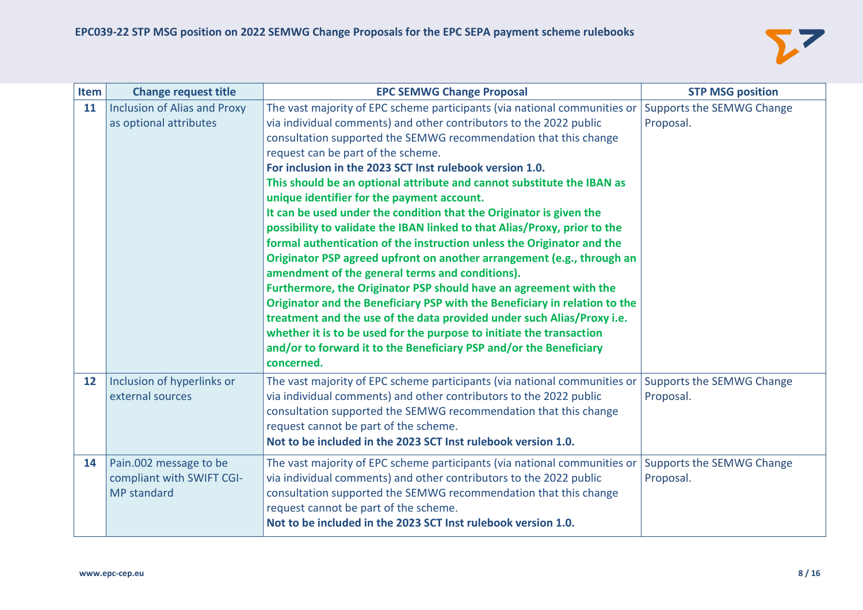

| Item              | <b>Change request title</b>                                               | <b>EPC SEMWG Change Proposal</b>                                                                                                                                                                                                                                                                                                                                                                                                                                                                                                                                                                                                                                                                                                                                                                                                                                                                                                                                                                                                                                                                                                                                                                  | <b>STP MSG position</b>                |
|-------------------|---------------------------------------------------------------------------|---------------------------------------------------------------------------------------------------------------------------------------------------------------------------------------------------------------------------------------------------------------------------------------------------------------------------------------------------------------------------------------------------------------------------------------------------------------------------------------------------------------------------------------------------------------------------------------------------------------------------------------------------------------------------------------------------------------------------------------------------------------------------------------------------------------------------------------------------------------------------------------------------------------------------------------------------------------------------------------------------------------------------------------------------------------------------------------------------------------------------------------------------------------------------------------------------|----------------------------------------|
| 11                | <b>Inclusion of Alias and Proxy</b><br>as optional attributes             | The vast majority of EPC scheme participants (via national communities or<br>via individual comments) and other contributors to the 2022 public<br>consultation supported the SEMWG recommendation that this change<br>request can be part of the scheme.<br>For inclusion in the 2023 SCT Inst rulebook version 1.0.<br>This should be an optional attribute and cannot substitute the IBAN as<br>unique identifier for the payment account.<br>It can be used under the condition that the Originator is given the<br>possibility to validate the IBAN linked to that Alias/Proxy, prior to the<br>formal authentication of the instruction unless the Originator and the<br>Originator PSP agreed upfront on another arrangement (e.g., through an<br>amendment of the general terms and conditions).<br>Furthermore, the Originator PSP should have an agreement with the<br>Originator and the Beneficiary PSP with the Beneficiary in relation to the<br>treatment and the use of the data provided under such Alias/Proxy i.e.<br>whether it is to be used for the purpose to initiate the transaction<br>and/or to forward it to the Beneficiary PSP and/or the Beneficiary<br>concerned. | Supports the SEMWG Change<br>Proposal. |
| $12 \overline{ }$ | Inclusion of hyperlinks or<br>external sources                            | The vast majority of EPC scheme participants (via national communities or<br>via individual comments) and other contributors to the 2022 public<br>consultation supported the SEMWG recommendation that this change<br>request cannot be part of the scheme.<br>Not to be included in the 2023 SCT Inst rulebook version 1.0.                                                                                                                                                                                                                                                                                                                                                                                                                                                                                                                                                                                                                                                                                                                                                                                                                                                                     | Supports the SEMWG Change<br>Proposal. |
| 14                | Pain.002 message to be<br>compliant with SWIFT CGI-<br><b>MP</b> standard | The vast majority of EPC scheme participants (via national communities or<br>via individual comments) and other contributors to the 2022 public<br>consultation supported the SEMWG recommendation that this change<br>request cannot be part of the scheme.<br>Not to be included in the 2023 SCT Inst rulebook version 1.0.                                                                                                                                                                                                                                                                                                                                                                                                                                                                                                                                                                                                                                                                                                                                                                                                                                                                     | Supports the SEMWG Change<br>Proposal. |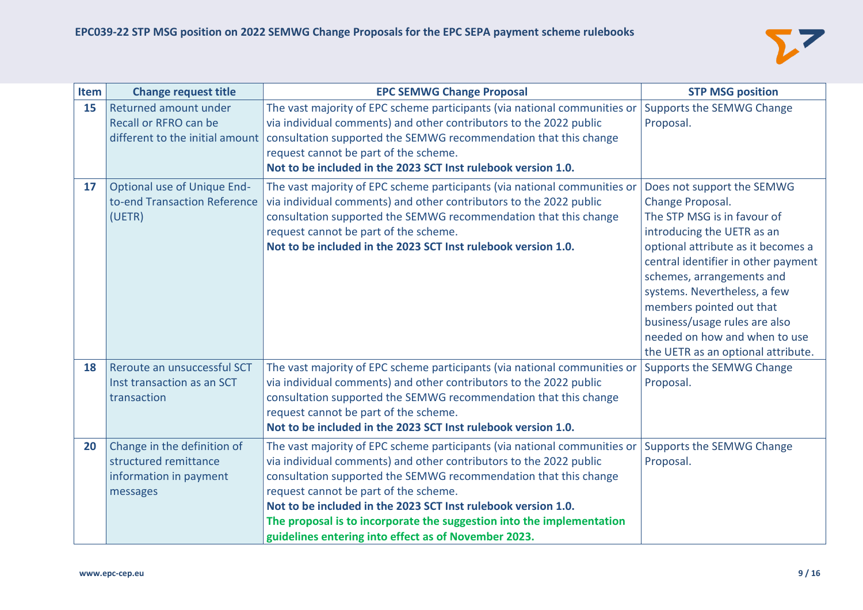

| Item | <b>Change request title</b>        | <b>EPC SEMWG Change Proposal</b>                                                                   | <b>STP MSG position</b>             |
|------|------------------------------------|----------------------------------------------------------------------------------------------------|-------------------------------------|
| 15   | Returned amount under              | The vast majority of EPC scheme participants (via national communities or                          | Supports the SEMWG Change           |
|      | Recall or RFRO can be              | via individual comments) and other contributors to the 2022 public                                 | Proposal.                           |
|      |                                    | different to the initial amount   consultation supported the SEMWG recommendation that this change |                                     |
|      |                                    | request cannot be part of the scheme.                                                              |                                     |
|      |                                    | Not to be included in the 2023 SCT Inst rulebook version 1.0.                                      |                                     |
| 17   | <b>Optional use of Unique End-</b> | The vast majority of EPC scheme participants (via national communities or                          | Does not support the SEMWG          |
|      | to-end Transaction Reference       | via individual comments) and other contributors to the 2022 public                                 | Change Proposal.                    |
|      | (UETR)                             | consultation supported the SEMWG recommendation that this change                                   | The STP MSG is in favour of         |
|      |                                    | request cannot be part of the scheme.                                                              | introducing the UETR as an          |
|      |                                    | Not to be included in the 2023 SCT Inst rulebook version 1.0.                                      | optional attribute as it becomes a  |
|      |                                    |                                                                                                    | central identifier in other payment |
|      |                                    |                                                                                                    | schemes, arrangements and           |
|      |                                    |                                                                                                    | systems. Nevertheless, a few        |
|      |                                    |                                                                                                    | members pointed out that            |
|      |                                    |                                                                                                    | business/usage rules are also       |
|      |                                    |                                                                                                    | needed on how and when to use       |
|      |                                    |                                                                                                    | the UETR as an optional attribute.  |
| 18   | Reroute an unsuccessful SCT        | The vast majority of EPC scheme participants (via national communities or                          | Supports the SEMWG Change           |
|      | Inst transaction as an SCT         | via individual comments) and other contributors to the 2022 public                                 | Proposal.                           |
|      | transaction                        | consultation supported the SEMWG recommendation that this change                                   |                                     |
|      |                                    | request cannot be part of the scheme.                                                              |                                     |
|      |                                    | Not to be included in the 2023 SCT Inst rulebook version 1.0.                                      |                                     |
| 20   | Change in the definition of        | The vast majority of EPC scheme participants (via national communities or                          | Supports the SEMWG Change           |
|      | structured remittance              | via individual comments) and other contributors to the 2022 public                                 | Proposal.                           |
|      | information in payment             | consultation supported the SEMWG recommendation that this change                                   |                                     |
|      | messages                           | request cannot be part of the scheme.                                                              |                                     |
|      |                                    | Not to be included in the 2023 SCT Inst rulebook version 1.0.                                      |                                     |
|      |                                    | The proposal is to incorporate the suggestion into the implementation                              |                                     |
|      |                                    | guidelines entering into effect as of November 2023.                                               |                                     |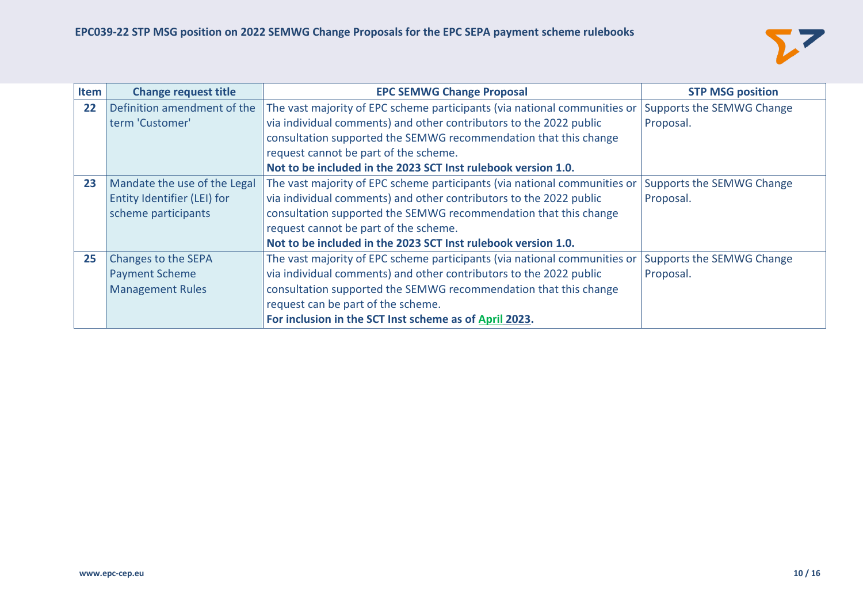

| Item | <b>Change request title</b>  | <b>EPC SEMWG Change Proposal</b>                                          | <b>STP MSG position</b>   |
|------|------------------------------|---------------------------------------------------------------------------|---------------------------|
| 22   | Definition amendment of the  | The vast majority of EPC scheme participants (via national communities or | Supports the SEMWG Change |
|      | term 'Customer'              | via individual comments) and other contributors to the 2022 public        | Proposal.                 |
|      |                              | consultation supported the SEMWG recommendation that this change          |                           |
|      |                              | request cannot be part of the scheme.                                     |                           |
|      |                              | Not to be included in the 2023 SCT Inst rulebook version 1.0.             |                           |
| 23   | Mandate the use of the Legal | The vast majority of EPC scheme participants (via national communities or | Supports the SEMWG Change |
|      | Entity Identifier (LEI) for  | via individual comments) and other contributors to the 2022 public        | Proposal.                 |
|      | scheme participants          | consultation supported the SEMWG recommendation that this change          |                           |
|      |                              | request cannot be part of the scheme.                                     |                           |
|      |                              | Not to be included in the 2023 SCT Inst rulebook version 1.0.             |                           |
| 25   | Changes to the SEPA          | The vast majority of EPC scheme participants (via national communities or | Supports the SEMWG Change |
|      | <b>Payment Scheme</b>        | via individual comments) and other contributors to the 2022 public        | Proposal.                 |
|      | <b>Management Rules</b>      | consultation supported the SEMWG recommendation that this change          |                           |
|      |                              | request can be part of the scheme.                                        |                           |
|      |                              | For inclusion in the SCT Inst scheme as of April 2023.                    |                           |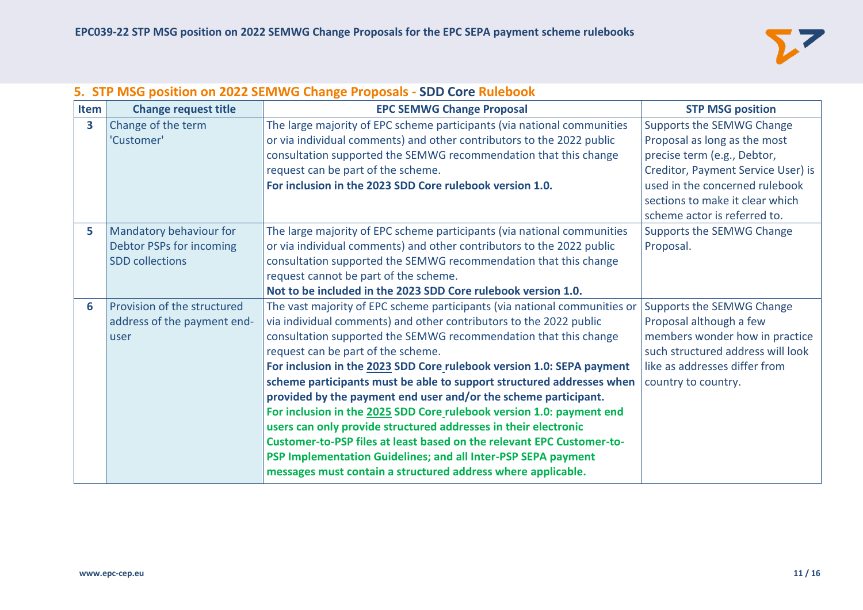

## **5. STP MSG position on 2022 SEMWG Change Proposals - SDD Core Rulebook**

| Item | <b>Change request title</b> | <b>EPC SEMWG Change Proposal</b>                                          | <b>STP MSG position</b>            |
|------|-----------------------------|---------------------------------------------------------------------------|------------------------------------|
| 3    | Change of the term          | The large majority of EPC scheme participants (via national communities   | Supports the SEMWG Change          |
|      | 'Customer'                  | or via individual comments) and other contributors to the 2022 public     | Proposal as long as the most       |
|      |                             | consultation supported the SEMWG recommendation that this change          | precise term (e.g., Debtor,        |
|      |                             | request can be part of the scheme.                                        | Creditor, Payment Service User) is |
|      |                             | For inclusion in the 2023 SDD Core rulebook version 1.0.                  | used in the concerned rulebook     |
|      |                             |                                                                           | sections to make it clear which    |
|      |                             |                                                                           | scheme actor is referred to.       |
| 5    | Mandatory behaviour for     | The large majority of EPC scheme participants (via national communities   | Supports the SEMWG Change          |
|      | Debtor PSPs for incoming    | or via individual comments) and other contributors to the 2022 public     | Proposal.                          |
|      | <b>SDD</b> collections      | consultation supported the SEMWG recommendation that this change          |                                    |
|      |                             | request cannot be part of the scheme.                                     |                                    |
|      |                             | Not to be included in the 2023 SDD Core rulebook version 1.0.             |                                    |
| 6    | Provision of the structured | The vast majority of EPC scheme participants (via national communities or | Supports the SEMWG Change          |
|      | address of the payment end- | via individual comments) and other contributors to the 2022 public        | Proposal although a few            |
|      | user                        | consultation supported the SEMWG recommendation that this change          | members wonder how in practice     |
|      |                             | request can be part of the scheme.                                        | such structured address will look  |
|      |                             | For inclusion in the 2023 SDD Core rulebook version 1.0: SEPA payment     | like as addresses differ from      |
|      |                             | scheme participants must be able to support structured addresses when     | country to country.                |
|      |                             | provided by the payment end user and/or the scheme participant.           |                                    |
|      |                             | For inclusion in the 2025 SDD Core rulebook version 1.0: payment end      |                                    |
|      |                             | users can only provide structured addresses in their electronic           |                                    |
|      |                             | Customer-to-PSP files at least based on the relevant EPC Customer-to-     |                                    |
|      |                             | PSP Implementation Guidelines; and all Inter-PSP SEPA payment             |                                    |
|      |                             | messages must contain a structured address where applicable.              |                                    |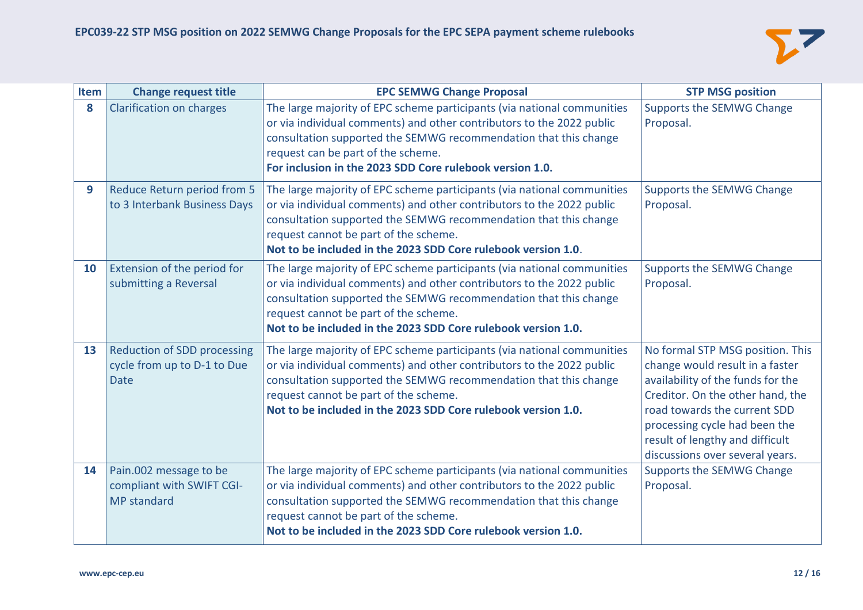

| Item | <b>Change request title</b>                                                      | <b>EPC SEMWG Change Proposal</b>                                                                                                                                                                                                                                                                                               | <b>STP MSG position</b>                                                                                                                                                                                                                                                             |
|------|----------------------------------------------------------------------------------|--------------------------------------------------------------------------------------------------------------------------------------------------------------------------------------------------------------------------------------------------------------------------------------------------------------------------------|-------------------------------------------------------------------------------------------------------------------------------------------------------------------------------------------------------------------------------------------------------------------------------------|
| 8    | <b>Clarification on charges</b>                                                  | The large majority of EPC scheme participants (via national communities<br>or via individual comments) and other contributors to the 2022 public<br>consultation supported the SEMWG recommendation that this change<br>request can be part of the scheme.<br>For inclusion in the 2023 SDD Core rulebook version 1.0.         | Supports the SEMWG Change<br>Proposal.                                                                                                                                                                                                                                              |
| 9    | Reduce Return period from 5<br>to 3 Interbank Business Days                      | The large majority of EPC scheme participants (via national communities<br>or via individual comments) and other contributors to the 2022 public<br>consultation supported the SEMWG recommendation that this change<br>request cannot be part of the scheme.<br>Not to be included in the 2023 SDD Core rulebook version 1.0. | Supports the SEMWG Change<br>Proposal.                                                                                                                                                                                                                                              |
| 10   | Extension of the period for<br>submitting a Reversal                             | The large majority of EPC scheme participants (via national communities<br>or via individual comments) and other contributors to the 2022 public<br>consultation supported the SEMWG recommendation that this change<br>request cannot be part of the scheme.<br>Not to be included in the 2023 SDD Core rulebook version 1.0. | Supports the SEMWG Change<br>Proposal.                                                                                                                                                                                                                                              |
| 13   | <b>Reduction of SDD processing</b><br>cycle from up to D-1 to Due<br><b>Date</b> | The large majority of EPC scheme participants (via national communities<br>or via individual comments) and other contributors to the 2022 public<br>consultation supported the SEMWG recommendation that this change<br>request cannot be part of the scheme.<br>Not to be included in the 2023 SDD Core rulebook version 1.0. | No formal STP MSG position. This<br>change would result in a faster<br>availability of the funds for the<br>Creditor. On the other hand, the<br>road towards the current SDD<br>processing cycle had been the<br>result of lengthy and difficult<br>discussions over several years. |
| 14   | Pain.002 message to be<br>compliant with SWIFT CGI-<br>MP standard               | The large majority of EPC scheme participants (via national communities<br>or via individual comments) and other contributors to the 2022 public<br>consultation supported the SEMWG recommendation that this change<br>request cannot be part of the scheme.<br>Not to be included in the 2023 SDD Core rulebook version 1.0. | Supports the SEMWG Change<br>Proposal.                                                                                                                                                                                                                                              |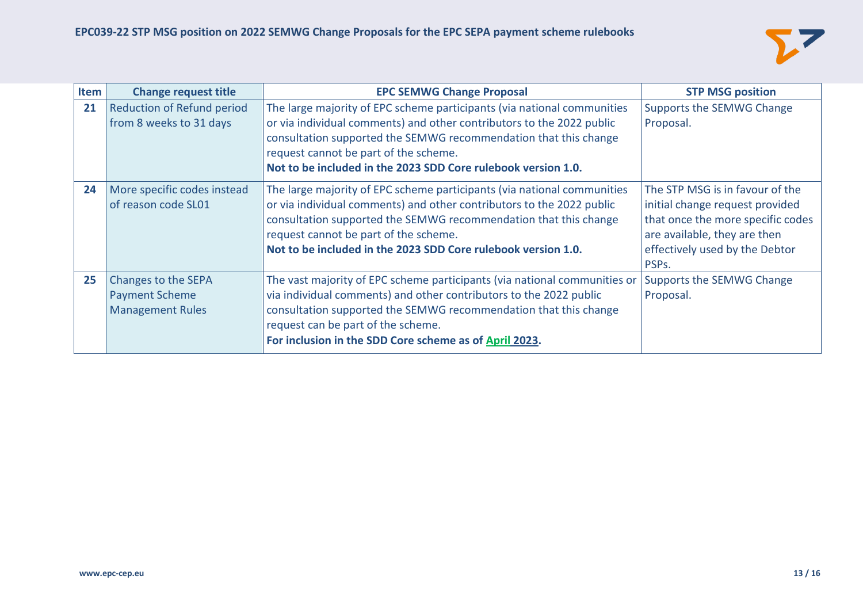

| Item | <b>Change request title</b>       | <b>EPC SEMWG Change Proposal</b>                                          | <b>STP MSG position</b>           |
|------|-----------------------------------|---------------------------------------------------------------------------|-----------------------------------|
| 21   | <b>Reduction of Refund period</b> | The large majority of EPC scheme participants (via national communities   | Supports the SEMWG Change         |
|      | from 8 weeks to 31 days           | or via individual comments) and other contributors to the 2022 public     | Proposal.                         |
|      |                                   | consultation supported the SEMWG recommendation that this change          |                                   |
|      |                                   | request cannot be part of the scheme.                                     |                                   |
|      |                                   | Not to be included in the 2023 SDD Core rulebook version 1.0.             |                                   |
| 24   | More specific codes instead       | The large majority of EPC scheme participants (via national communities   | The STP MSG is in favour of the   |
|      | of reason code SL01               | or via individual comments) and other contributors to the 2022 public     | initial change request provided   |
|      |                                   | consultation supported the SEMWG recommendation that this change          | that once the more specific codes |
|      |                                   | request cannot be part of the scheme.                                     | are available, they are then      |
|      |                                   | Not to be included in the 2023 SDD Core rulebook version 1.0.             | effectively used by the Debtor    |
|      |                                   |                                                                           | PSPs.                             |
| 25   | Changes to the SEPA               | The vast majority of EPC scheme participants (via national communities or | Supports the SEMWG Change         |
|      | <b>Payment Scheme</b>             | via individual comments) and other contributors to the 2022 public        | Proposal.                         |
|      | <b>Management Rules</b>           | consultation supported the SEMWG recommendation that this change          |                                   |
|      |                                   | request can be part of the scheme.                                        |                                   |
|      |                                   | For inclusion in the SDD Core scheme as of April 2023.                    |                                   |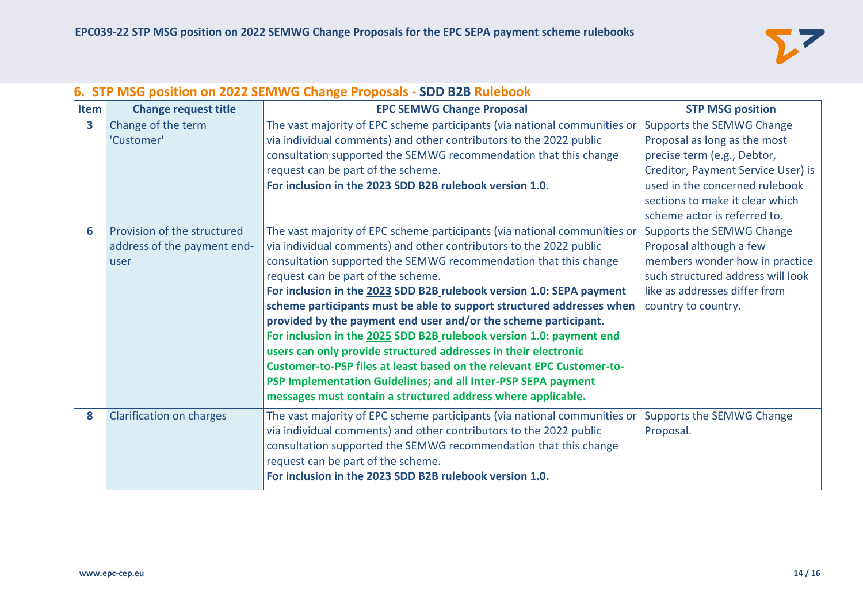

## **6. STP MSG position on 2022 SEMWG Change Proposals - SDD B2B Rulebook**

| Item | <b>Change request title</b>                                         | <b>EPC SEMWG Change Proposal</b>                                                                                                                                                                                                                                                                                                                                                                                                                                                                                                                                                                                                                                                                                                                                                                                                  | <b>STP MSG position</b>                                                                                                                                                                                                             |
|------|---------------------------------------------------------------------|-----------------------------------------------------------------------------------------------------------------------------------------------------------------------------------------------------------------------------------------------------------------------------------------------------------------------------------------------------------------------------------------------------------------------------------------------------------------------------------------------------------------------------------------------------------------------------------------------------------------------------------------------------------------------------------------------------------------------------------------------------------------------------------------------------------------------------------|-------------------------------------------------------------------------------------------------------------------------------------------------------------------------------------------------------------------------------------|
| 3    | Change of the term<br>'Customer'                                    | The vast majority of EPC scheme participants (via national communities or<br>via individual comments) and other contributors to the 2022 public<br>consultation supported the SEMWG recommendation that this change<br>request can be part of the scheme.<br>For inclusion in the 2023 SDD B2B rulebook version 1.0.                                                                                                                                                                                                                                                                                                                                                                                                                                                                                                              | Supports the SEMWG Change<br>Proposal as long as the most<br>precise term (e.g., Debtor,<br>Creditor, Payment Service User) is<br>used in the concerned rulebook<br>sections to make it clear which<br>scheme actor is referred to. |
| 6    | Provision of the structured<br>address of the payment end-<br>luser | The vast majority of EPC scheme participants (via national communities or<br>via individual comments) and other contributors to the 2022 public<br>consultation supported the SEMWG recommendation that this change<br>request can be part of the scheme.<br>For inclusion in the 2023 SDD B2B rulebook version 1.0: SEPA payment<br>scheme participants must be able to support structured addresses when<br>provided by the payment end user and/or the scheme participant.<br>For inclusion in the 2025 SDD B2B rulebook version 1.0: payment end<br>users can only provide structured addresses in their electronic<br>Customer-to-PSP files at least based on the relevant EPC Customer-to-<br>PSP Implementation Guidelines; and all Inter-PSP SEPA payment<br>messages must contain a structured address where applicable. | Supports the SEMWG Change<br>Proposal although a few<br>members wonder how in practice<br>such structured address will look<br>like as addresses differ from<br>country to country.                                                 |
| 8    | <b>Clarification on charges</b>                                     | The vast majority of EPC scheme participants (via national communities or<br>via individual comments) and other contributors to the 2022 public<br>consultation supported the SEMWG recommendation that this change<br>request can be part of the scheme.<br>For inclusion in the 2023 SDD B2B rulebook version 1.0.                                                                                                                                                                                                                                                                                                                                                                                                                                                                                                              | Supports the SEMWG Change<br>Proposal.                                                                                                                                                                                              |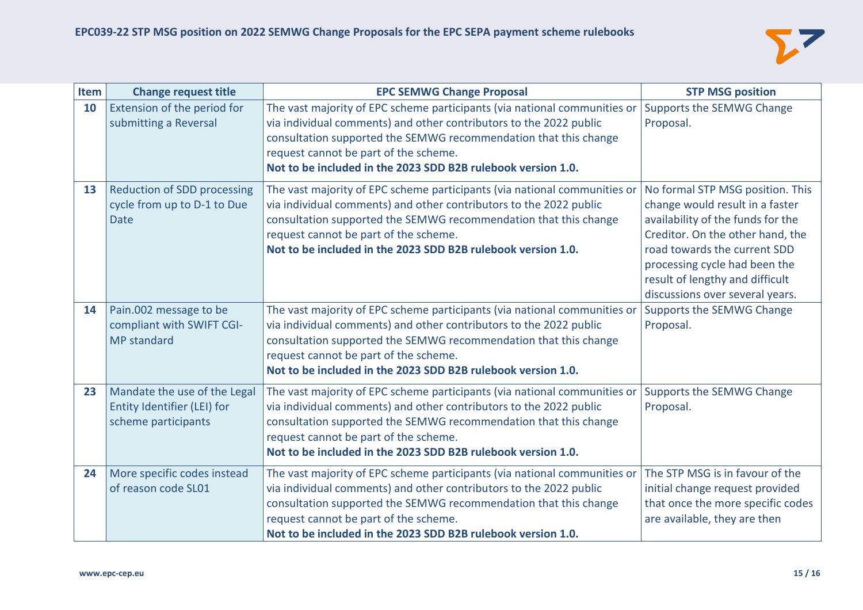

| Item | <b>Change request title</b>                                                        | <b>EPC SEMWG Change Proposal</b>                                                                                                                                                                                                                                                                                             | <b>STP MSG position</b>                                                                                                                                                                                                                                                             |
|------|------------------------------------------------------------------------------------|------------------------------------------------------------------------------------------------------------------------------------------------------------------------------------------------------------------------------------------------------------------------------------------------------------------------------|-------------------------------------------------------------------------------------------------------------------------------------------------------------------------------------------------------------------------------------------------------------------------------------|
| 10   | Extension of the period for<br>submitting a Reversal                               | The vast majority of EPC scheme participants (via national communities or<br>via individual comments) and other contributors to the 2022 public<br>consultation supported the SEMWG recommendation that this change<br>request cannot be part of the scheme.<br>Not to be included in the 2023 SDD B2B rulebook version 1.0. | Supports the SEMWG Change<br>Proposal.                                                                                                                                                                                                                                              |
| 13   | <b>Reduction of SDD processing</b><br>cycle from up to D-1 to Due<br><b>Date</b>   | The vast majority of EPC scheme participants (via national communities or<br>via individual comments) and other contributors to the 2022 public<br>consultation supported the SEMWG recommendation that this change<br>request cannot be part of the scheme.<br>Not to be included in the 2023 SDD B2B rulebook version 1.0. | No formal STP MSG position. This<br>change would result in a faster<br>availability of the funds for the<br>Creditor. On the other hand, the<br>road towards the current SDD<br>processing cycle had been the<br>result of lengthy and difficult<br>discussions over several years. |
| 14   | Pain.002 message to be<br>compliant with SWIFT CGI-<br><b>MP</b> standard          | The vast majority of EPC scheme participants (via national communities or<br>via individual comments) and other contributors to the 2022 public<br>consultation supported the SEMWG recommendation that this change<br>request cannot be part of the scheme.<br>Not to be included in the 2023 SDD B2B rulebook version 1.0. | Supports the SEMWG Change<br>Proposal.                                                                                                                                                                                                                                              |
| 23   | Mandate the use of the Legal<br>Entity Identifier (LEI) for<br>scheme participants | The vast majority of EPC scheme participants (via national communities or<br>via individual comments) and other contributors to the 2022 public<br>consultation supported the SEMWG recommendation that this change<br>request cannot be part of the scheme.<br>Not to be included in the 2023 SDD B2B rulebook version 1.0. | Supports the SEMWG Change<br>Proposal.                                                                                                                                                                                                                                              |
| 24   | More specific codes instead<br>of reason code SL01                                 | The vast majority of EPC scheme participants (via national communities or<br>via individual comments) and other contributors to the 2022 public<br>consultation supported the SEMWG recommendation that this change<br>request cannot be part of the scheme.<br>Not to be included in the 2023 SDD B2B rulebook version 1.0. | The STP MSG is in favour of the<br>initial change request provided<br>that once the more specific codes<br>are available, they are then                                                                                                                                             |